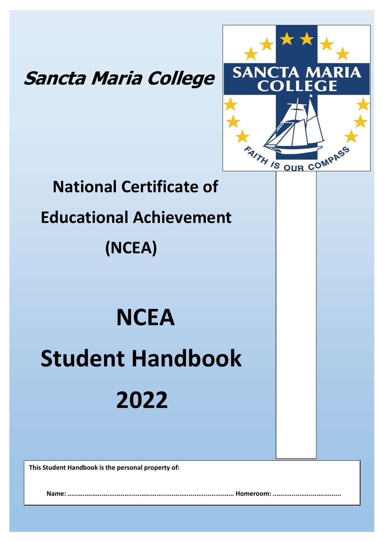## **Sancta Maria College**



# **National Certificate of Educational Achievement (NCEA)**

# **NCEA Student Handbook 2022**

**This Student Handbook is the personal property of:** 

**Name: ........................................................................................ Homeroom: ....................................**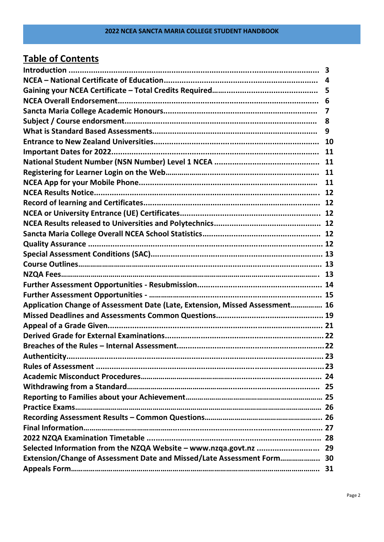## **Table of Contents**

|                                                                              | 6 |
|------------------------------------------------------------------------------|---|
|                                                                              | 7 |
|                                                                              | 8 |
|                                                                              | 9 |
|                                                                              |   |
|                                                                              |   |
|                                                                              |   |
|                                                                              |   |
|                                                                              |   |
|                                                                              |   |
|                                                                              |   |
|                                                                              |   |
|                                                                              |   |
|                                                                              |   |
|                                                                              |   |
|                                                                              |   |
|                                                                              |   |
|                                                                              |   |
|                                                                              |   |
|                                                                              |   |
| Application Change of Assessment Date (Late, Extension, Missed Assessment 16 |   |
|                                                                              |   |
|                                                                              |   |
|                                                                              |   |
|                                                                              |   |
|                                                                              |   |
|                                                                              |   |
|                                                                              |   |
|                                                                              |   |
|                                                                              |   |
|                                                                              |   |
|                                                                              |   |
|                                                                              |   |
|                                                                              |   |
| Selected Information from the NZQA Website - www.nzqa.govt.nz  29            |   |
| Extension/Change of Assessment Date and Missed/Late Assessment Form 30       |   |
|                                                                              |   |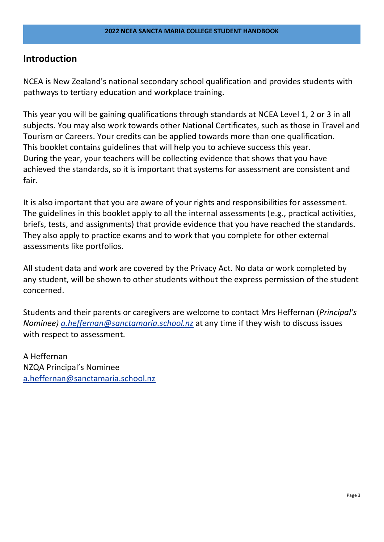## **Introduction**

NCEA is New Zealand's national secondary school qualification and provides students with pathways to tertiary education and workplace training.

This year you will be gaining qualifications through standards at NCEA Level 1, 2 or 3 in all subjects. You may also work towards other National Certificates, such as those in Travel and Tourism or Careers. Your credits can be applied towards more than one qualification. This booklet contains guidelines that will help you to achieve success this year. During the year, your teachers will be collecting evidence that shows that you have achieved the standards, so it is important that systems for assessment are consistent and fair.

It is also important that you are aware of your rights and responsibilities for assessment. The guidelines in this booklet apply to all the internal assessments (e.g., practical activities, briefs, tests, and assignments) that provide evidence that you have reached the standards. They also apply to practice exams and to work that you complete for other external assessments like portfolios.

All student data and work are covered by the Privacy Act. No data or work completed by any student, will be shown to other students without the express permission of the student concerned.

Students and their parents or caregivers are welcome to contact Mrs Heffernan (*Principal's Nominee) [a.heffernan@sanctamaria.school.nz](mailto:a.heffernan@sanctamaria.school.nz)* at any time if they wish to discuss issues with respect to assessment.

A Heffernan NZQA Principal's Nominee [a.heffernan@sanctamaria.school.nz](mailto:a.heffernan@sanctamaria.school.nz)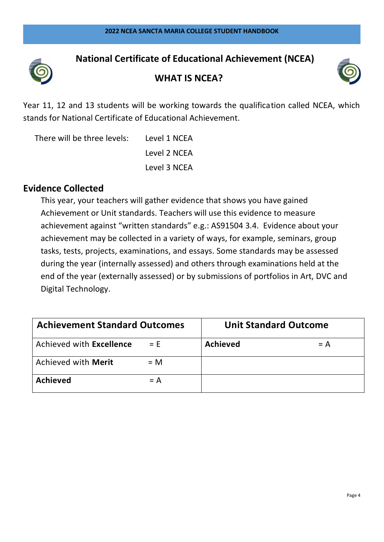

## **National Certificate of Educational Achievement (NCEA)**





Year 11, 12 and 13 students will be working towards the qualification called NCEA, which stands for National Certificate of Educational Achievement.

There will be three levels: Level 1 NCEA Level 2 NCEA Level 3 NCEA

## **Evidence Collected**

This year, your teachers will gather evidence that shows you have gained Achievement or Unit standards. Teachers will use this evidence to measure achievement against "written standards" e.g.: AS91504 3.4. Evidence about your achievement may be collected in a variety of ways, for example, seminars, group tasks, tests, projects, examinations, and essays. Some standards may be assessed during the year (internally assessed) and others through examinations held at the end of the year (externally assessed) or by submissions of portfolios in Art, DVC and Digital Technology.

| <b>Achievement Standard Outcomes</b> |       | <b>Unit Standard Outcome</b> |       |
|--------------------------------------|-------|------------------------------|-------|
| Achieved with Excellence             | $= E$ | <b>Achieved</b>              | $= A$ |
| Achieved with Merit                  | $= M$ |                              |       |
| <b>Achieved</b>                      | $= A$ |                              |       |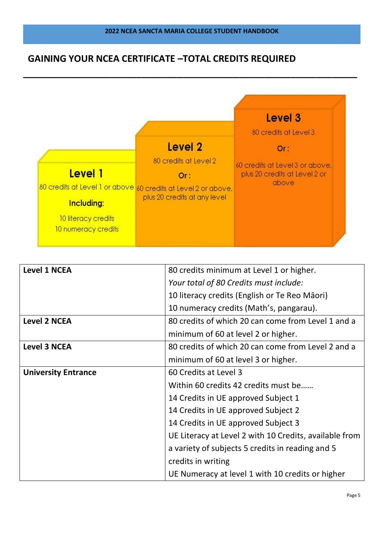**\_\_\_\_\_\_\_\_\_\_\_\_\_\_\_\_\_\_\_\_\_\_\_\_\_\_\_\_\_\_\_\_\_\_\_\_\_\_\_\_\_\_\_\_\_\_\_\_\_\_\_\_\_\_\_\_\_\_\_\_\_\_\_\_\_**

## **GAINING YOUR NCEA CERTIFICATE –TOTAL CREDITS REQUIRED**



| <b>Level 1 NCEA</b>        | 80 credits minimum at Level 1 or higher.               |
|----------------------------|--------------------------------------------------------|
|                            | Your total of 80 Credits must include:                 |
|                            | 10 literacy credits (English or Te Reo Māori)          |
|                            | 10 numeracy credits (Math's, pangarau).                |
| <b>Level 2 NCEA</b>        | 80 credits of which 20 can come from Level 1 and a     |
|                            | minimum of 60 at level 2 or higher.                    |
| <b>Level 3 NCEA</b>        | 80 credits of which 20 can come from Level 2 and a     |
|                            | minimum of 60 at level 3 or higher.                    |
| <b>University Entrance</b> | 60 Credits at Level 3                                  |
|                            | Within 60 credits 42 credits must be                   |
|                            | 14 Credits in UE approved Subject 1                    |
|                            | 14 Credits in UE approved Subject 2                    |
|                            | 14 Credits in UE approved Subject 3                    |
|                            | UE Literacy at Level 2 with 10 Credits, available from |
|                            | a variety of subjects 5 credits in reading and 5       |
|                            | credits in writing                                     |
|                            | UE Numeracy at level 1 with 10 credits or higher       |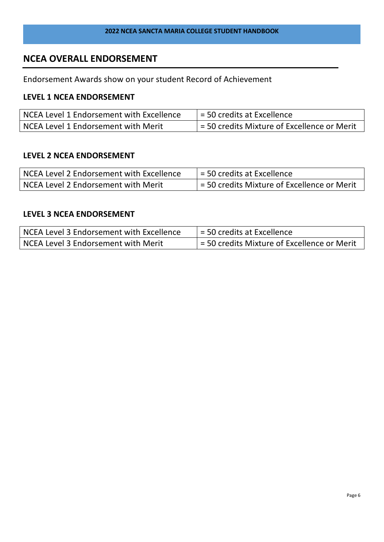## **NCEA OVERALL ENDORSEMENT**

Endorsement Awards show on your student Record of Achievement

#### **LEVEL 1 NCEA ENDORSEMENT**

| NCEA Level 1 Endorsement with Excellence | = 50 credits at Excellence                  |
|------------------------------------------|---------------------------------------------|
| NCEA Level 1 Endorsement with Merit      | = 50 credits Mixture of Excellence or Merit |

## **LEVEL 2 NCEA ENDORSEMENT**

| NCEA Level 2 Endorsement with Excellence | $=$ 50 credits at Excellence                |
|------------------------------------------|---------------------------------------------|
| NCEA Level 2 Endorsement with Merit      | = 50 credits Mixture of Excellence or Merit |

#### **LEVEL 3 NCEA ENDORSEMENT**

| NCEA Level 3 Endorsement with Excellence | = 50 credits at Excellence                  |
|------------------------------------------|---------------------------------------------|
| NCEA Level 3 Endorsement with Merit      | = 50 credits Mixture of Excellence or Merit |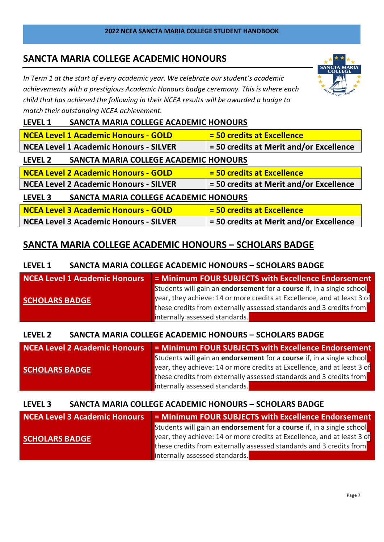## **SANCTA MARIA COLLEGE ACADEMIC HONOURS**

*In Term 1 at the start of every academic year. We celebrate our student's academic achievements with a prestigious Academic Honours badge ceremony. This is where each child that has achieved the following in their NCEA results will be awarded a badge to match their outstanding NCEA achievement.* 



#### **LEVEL 1 SANCTA MARIA COLLEGE ACADEMIC HONOURS**

| <b>NCEA Level 1 Academic Honours - GOLD</b>                               | = 50 credits at Excellence              |  |  |
|---------------------------------------------------------------------------|-----------------------------------------|--|--|
| <b>NCEA Level 1 Academic Honours - SILVER</b>                             | = 50 credits at Merit and/or Excellence |  |  |
| SANCTA MARIA COLLEGE ACADEMIC HONOURS<br><b>LEVEL 2</b>                   |                                         |  |  |
| = 50 credits at Excellence<br><b>NCEA Level 2 Academic Honours - GOLD</b> |                                         |  |  |
| <b>NCEA Level 2 Academic Honours - SILVER</b>                             | = 50 credits at Merit and/or Excellence |  |  |
| SANCTA MARIA COLLEGE ACADEMIC HONOURS<br>LEVEL 3                          |                                         |  |  |
| <b>NCEA Level 3 Academic Honours - GOLD</b>                               | = 50 credits at Excellence              |  |  |
| <b>NCEA Level 3 Academic Honours - SILVER</b>                             | = 50 credits at Merit and/or Excellence |  |  |

## **SANCTA MARIA COLLEGE ACADEMIC HONOURS – SCHOLARS BADGE**

## **LEVEL 1 SANCTA MARIA COLLEGE ACADEMIC HONOURS – SCHOLARS BADGE**

| <b>NCEA Level 1 Academic Honours</b> | = Minimum FOUR SUBJECTS with Excellence Endorsement                                 |  |
|--------------------------------------|-------------------------------------------------------------------------------------|--|
| <b>SCHOLARS BADGE</b>                | Students will gain an <b>endorsement</b> for a <b>course</b> if, in a single school |  |
|                                      | year, they achieve: 14 or more credits at Excellence, and at least 3 of             |  |
|                                      | these credits from externally assessed standards and 3 credits from                 |  |
|                                      | internally assessed standards.                                                      |  |

#### **LEVEL 2 SANCTA MARIA COLLEGE ACADEMIC HONOURS – SCHOLARS BADGE**

| <b>NCEA Level 2 Academic Honours</b> | = Minimum FOUR SUBJECTS with Excellence Endorsement                     |  |
|--------------------------------------|-------------------------------------------------------------------------|--|
|                                      | Students will gain an endorsement for a course if, in a single school   |  |
| <b>SCHOLARS BADGE</b>                | year, they achieve: 14 or more credits at Excellence, and at least 3 of |  |
|                                      | these credits from externally assessed standards and 3 credits from     |  |
|                                      | internally assessed standards.                                          |  |

#### **LEVEL 3 SANCTA MARIA COLLEGE ACADEMIC HONOURS – SCHOLARS BADGE**

| NCEA Level 3 Academic Honours | = Minimum FOUR SUBJECTS with Excellence Endorsement                     |
|-------------------------------|-------------------------------------------------------------------------|
|                               | Students will gain an endorsement for a course if, in a single school   |
| <b>SCHOLARS BADGE</b>         | year, they achieve: 14 or more credits at Excellence, and at least 3 of |
|                               | these credits from externally assessed standards and 3 credits from     |
|                               | internally assessed standards.                                          |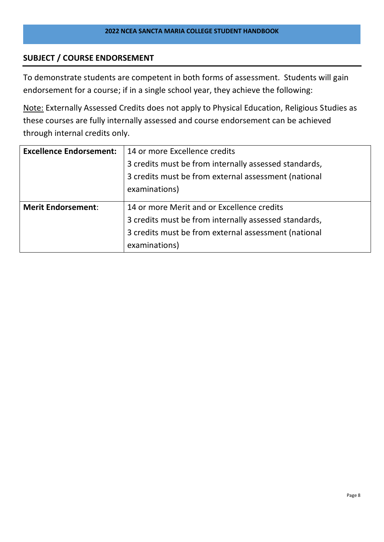### **SUBJECT / COURSE ENDORSEMENT**

To demonstrate students are competent in both forms of assessment. Students will gain endorsement for a course; if in a single school year, they achieve the following:

Note: Externally Assessed Credits does not apply to Physical Education, Religious Studies as these courses are fully internally assessed and course endorsement can be achieved through internal credits only.

| <b>Excellence Endorsement:</b> | 14 or more Excellence credits                         |  |
|--------------------------------|-------------------------------------------------------|--|
|                                | 3 credits must be from internally assessed standards, |  |
|                                | 3 credits must be from external assessment (national  |  |
|                                | examinations)                                         |  |
|                                |                                                       |  |
| <b>Merit Endorsement:</b>      | 14 or more Merit and or Excellence credits            |  |
|                                | 3 credits must be from internally assessed standards, |  |
|                                | 3 credits must be from external assessment (national  |  |
|                                | examinations)                                         |  |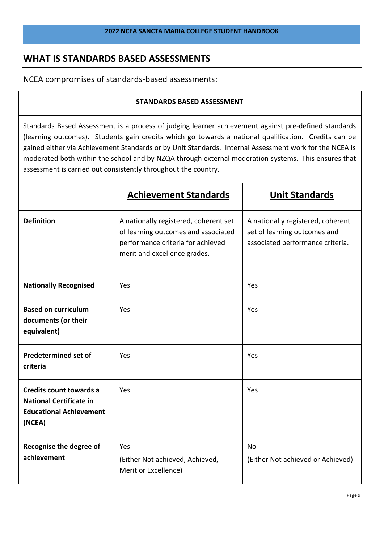## **WHAT IS STANDARDS BASED ASSESSMENTS**

NCEA compromises of standards-based assessments:

#### **STANDARDS BASED ASSESSMENT**

Standards Based Assessment is a process of judging learner achievement against pre-defined standards (learning outcomes). Students gain credits which go towards a national qualification. Credits can be gained either via Achievement Standards or by Unit Standards. Internal Assessment work for the NCEA is moderated both within the school and by NZQA through external moderation systems. This ensures that assessment is carried out consistently throughout the country.

|                                                                                                       | <b>Achievement Standards</b>                                                                                                                      | <b>Unit Standards</b>                                                                                 |
|-------------------------------------------------------------------------------------------------------|---------------------------------------------------------------------------------------------------------------------------------------------------|-------------------------------------------------------------------------------------------------------|
| <b>Definition</b>                                                                                     | A nationally registered, coherent set<br>of learning outcomes and associated<br>performance criteria for achieved<br>merit and excellence grades. | A nationally registered, coherent<br>set of learning outcomes and<br>associated performance criteria. |
| <b>Nationally Recognised</b>                                                                          | Yes                                                                                                                                               | Yes                                                                                                   |
| <b>Based on curriculum</b><br>documents (or their<br>equivalent)                                      | Yes                                                                                                                                               | Yes                                                                                                   |
| <b>Predetermined set of</b><br>criteria                                                               | Yes                                                                                                                                               | Yes                                                                                                   |
| Credits count towards a<br><b>National Certificate in</b><br><b>Educational Achievement</b><br>(NCEA) | Yes                                                                                                                                               | Yes                                                                                                   |
| Recognise the degree of<br>achievement                                                                | Yes<br>(Either Not achieved, Achieved,<br>Merit or Excellence)                                                                                    | <b>No</b><br>(Either Not achieved or Achieved)                                                        |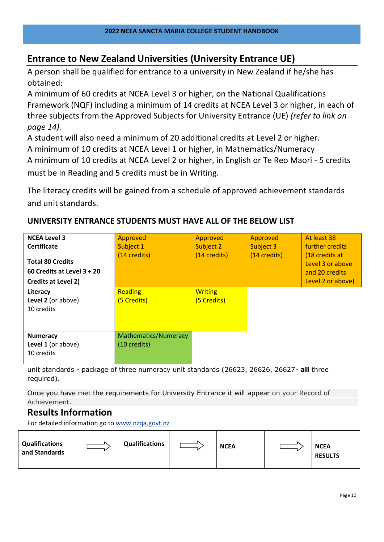## **Entrance to New Zealand Universities (University Entrance UE)**

A person shall be qualified for entrance to a university in New Zealand if he/she has obtained:

A minimum of 60 credits at NCEA Level 3 or higher, on the National Qualifications Framework (NQF) including a minimum of 14 credits at NCEA Level 3 or higher, in each of three subjects from the Approved Subjects for University Entrance (UE) *(refer to link on page 14).* 

A student will also need a minimum of 20 additional credits at Level 2 or higher.

A minimum of 10 credits at NCEA Level 1 or higher, in Mathematics/Numeracy

A minimum of 10 credits at NCEA Level 2 or higher, in English or Te Reo Maori - 5 credits must be in Reading and 5 credits must be in Writing.

The literacy credits will be gained from a schedule of approved achievement standards and unit standards.

#### **NCEA Level 3 Certificate Total 80 Credits 60 Credits at Level 3 + 20 Credits at Level 2)** Approved Subject 1 (14 credits) Approved Subject 2 (14 credits) Approved Subject 3 (14 credits) At least 38 further credits (18 credits at Level 3 or above and 20 credits Level 2 or above) **Literacy Level 2** (or above) 10 credits **Reading** (5 Credits) **Writing** (5 Credits) **Numeracy Level 1** (or above) 10 credits Mathematics/Numeracy (10 credits)

## **UNIVERSITY ENTRANCE STUDENTS MUST HAVE ALL OF THE BELOW LIST**

unit standards - package of three numeracy unit standards (26623, 26626, 26627- **all** three required).

Once you have met the requirements for University Entrance it will appear on your Record of Achievement.

## **Results Information**

For detailed information go to [www.nzqa.govt.nz](http://www.nzqa.govt.nz/)

| <b>Qualifications</b><br>and Standards | <b>Qualifications</b> | <b>NCEA</b> | <b>NCEA</b><br><b>RESULTS</b> |
|----------------------------------------|-----------------------|-------------|-------------------------------|
|                                        |                       |             |                               |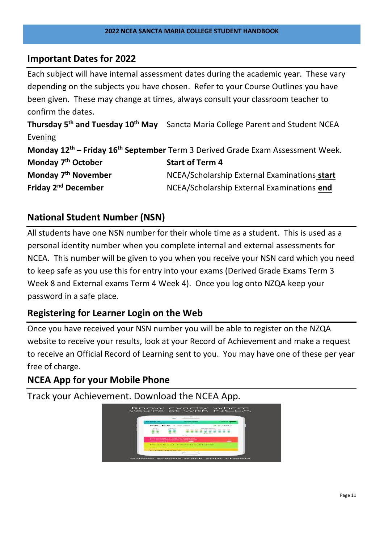## **Important Dates for 2022**

Each subject will have internal assessment dates during the academic year. These vary depending on the subjects you have chosen. Refer to your Course Outlines you have been given. These may change at times, always consult your classroom teacher to confirm the dates. **Thursday 5 th and Tuesday 10th May** Sancta Maria College Parent and Student NCEA Evening **Monday 12 th – Friday 16th September** Term 3 Derived Grade Exam Assessment Week. **Monday 7 Start of Term 4 Monday 7 NCEA/Scholarship External Examinations start Friday 2nd December** NCEA/Scholarship External Examinations **end**

## **National Student Number (NSN)**

All students have one NSN number for their whole time as a student. This is used as a personal identity number when you complete internal and external assessments for NCEA. This number will be given to you when you receive your NSN card which you need to keep safe as you use this for entry into your exams (Derived Grade Exams Term 3 Week 8 and External exams Term 4 Week 4). Once you log onto NZQA keep your password in a safe place.

## **Registering for Learner Login on the Web**

Once you have received your NSN number you will be able to register on the NZQA website to receive your results, look at your Record of Achievement and make a request to receive an Official Record of Learning sent to you. You may have one of these per year free of charge.

## **NCEA App for your Mobile Phone**

Track your Achievement. Download the NCEA App.

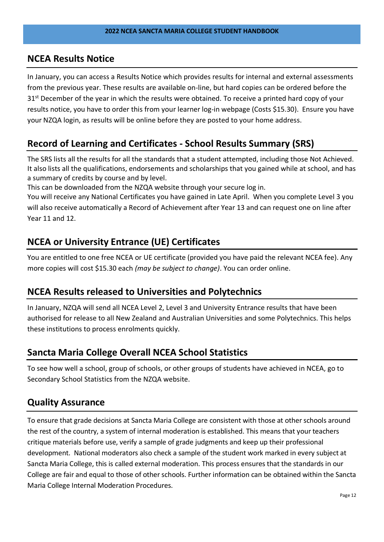## **NCEA Results Notice**

In January, you can access a Results Notice which provides results for internal and external assessments from the previous year. These results are available on-line, but hard copies can be ordered before the  $31<sup>st</sup>$  December of the year in which the results were obtained. To receive a printed hard copy of your results notice, you have to order this from your learner log-in webpage (Costs \$15.30). Ensure you have your NZQA login, as results will be online before they are posted to your home address.

## **Record of Learning and Certificates - School Results Summary (SRS)**

The SRS lists all the results for all the standards that a student attempted, including those Not Achieved. It also lists all the qualifications, endorsements and scholarships that you gained while at school, and has a summary of credits by course and by level.

This can be downloaded from the NZQA website through your secure log in.

You will receive any National Certificates you have gained in Late April. When you complete Level 3 you will also receive automatically a Record of Achievement after Year 13 and can request one on line after Year 11 and 12.

## **NCEA or University Entrance (UE) Certificates**

You are entitled to one free NCEA or UE certificate (provided you have paid the relevant NCEA fee). Any more copies will cost \$15.30 each *(may be subject to change)*. You can order online.

## **NCEA Results released to Universities and Polytechnics**

In January, NZQA will send all NCEA Level 2, Level 3 and University Entrance results that have been authorised for release to all New Zealand and Australian Universities and some Polytechnics. This helps these institutions to process enrolments quickly.

## **Sancta Maria College Overall NCEA School Statistics**

To see how well a school, group of schools, or other groups of students have achieved in NCEA, go to Secondary School Statistics from the NZQA website.

## **Quality Assurance**

To ensure that grade decisions at Sancta Maria College are consistent with those at other schools around the rest of the country, a system of internal moderation is established. This means that your teachers critique materials before use, verify a sample of grade judgments and keep up their professional development. National moderators also check a sample of the student work marked in every subject at Sancta Maria College, this is called external moderation. This process ensures that the standards in our College are fair and equal to those of other schools. Further information can be obtained within the Sancta Maria College Internal Moderation Procedures.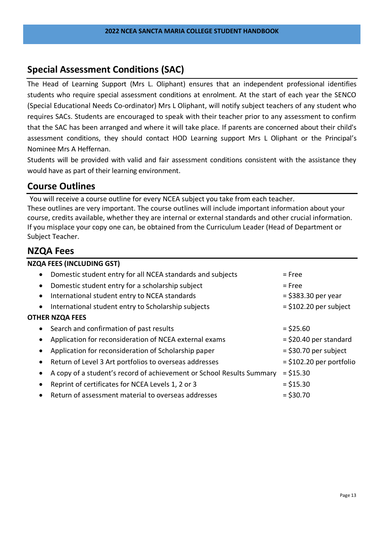## **Special Assessment Conditions (SAC)**

The Head of Learning Support (Mrs L. Oliphant) ensures that an independent professional identifies students who require special assessment conditions at enrolment. At the start of each year the SENCO (Special Educational Needs Co-ordinator) Mrs L Oliphant, will notify subject teachers of any student who requires SACs. Students are encouraged to speak with their teacher prior to any assessment to confirm that the SAC has been arranged and where it will take place. If parents are concerned about their child's assessment conditions, they should contact HOD Learning support Mrs L Oliphant or the Principal's Nominee Mrs A Heffernan.

Students will be provided with valid and fair assessment conditions consistent with the assistance they would have as part of their learning environment.

## **Course Outlines**

You will receive a course outline for every NCEA subject you take from each teacher. These outlines are very important. The course outlines will include important information about your course, credits available, whether they are internal or external standards and other crucial information. If you misplace your copy one can, be obtained from the Curriculum Leader (Head of Department or Subject Teacher.

## **NZQA Fees**

| <b>NZQA FEES (INCLUDING GST)</b>                                      |                            |
|-----------------------------------------------------------------------|----------------------------|
| Domestic student entry for all NCEA standards and subjects            | $=$ Free                   |
| Domestic student entry for a scholarship subject                      | $=$ Free                   |
| International student entry to NCEA standards                         | $=$ \$383.30 per year      |
| International student entry to Scholarship subjects                   | $=$ \$102.20 per subject   |
| <b>OTHER NZQA FEES</b>                                                |                            |
| Search and confirmation of past results                               | $=$ \$25.60                |
| Application for reconsideration of NCEA external exams                | $=$ \$20.40 per standard   |
| Application for reconsideration of Scholarship paper                  | $=$ \$30.70 per subject    |
| Return of Level 3 Art portfolios to overseas addresses                | $=$ \$102.20 per portfolio |
| A copy of a student's record of achievement or School Results Summary | $= $15.30$                 |
| Reprint of certificates for NCEA Levels 1, 2 or 3                     | $= $15.30$                 |
| Return of assessment material to overseas addresses                   | $=$ \$30.70                |
|                                                                       |                            |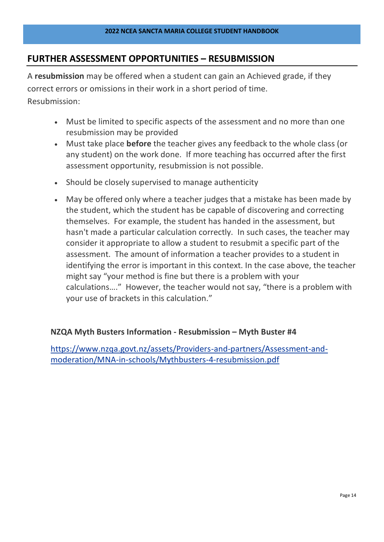## **FURTHER ASSESSMENT OPPORTUNITIES – RESUBMISSION**

A **resubmission** may be offered when a student can gain an Achieved grade, if they correct errors or omissions in their work in a short period of time. Resubmission:

- Must be limited to specific aspects of the assessment and no more than one resubmission may be provided
- Must take place **before** the teacher gives any feedback to the whole class (or any student) on the work done. If more teaching has occurred after the first assessment opportunity, resubmission is not possible.
- Should be closely supervised to manage authenticity
- May be offered only where a teacher judges that a mistake has been made by the student, which the student has be capable of discovering and correcting themselves. For example, the student has handed in the assessment, but hasn't made a particular calculation correctly. In such cases, the teacher may consider it appropriate to allow a student to resubmit a specific part of the assessment. The amount of information a teacher provides to a student in identifying the error is important in this context. In the case above, the teacher might say "your method is fine but there is a problem with your calculations…." However, the teacher would not say, "there is a problem with your use of brackets in this calculation."

#### **NZQA Myth Busters Information - Resubmission – Myth Buster #4**

[https://www.nzqa.govt.nz/assets/Providers-and-partners/Assessment-and](https://www.nzqa.govt.nz/assets/Providers-and-partners/Assessment-and-moderation/MNA-in-schools/Mythbusters-4-resubmission.pdf)[moderation/MNA-in-schools/Mythbusters-4-resubmission.pdf](https://www.nzqa.govt.nz/assets/Providers-and-partners/Assessment-and-moderation/MNA-in-schools/Mythbusters-4-resubmission.pdf)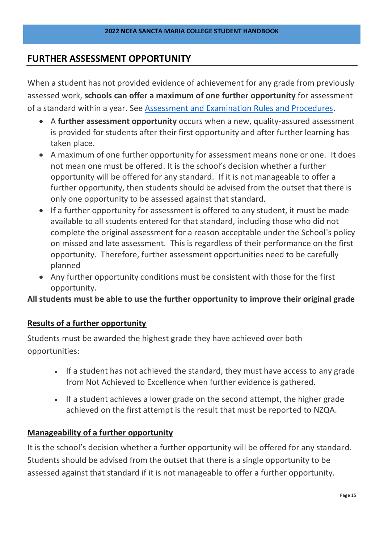## **FURTHER ASSESSMENT OPPORTUNITY**

When a student has not provided evidence of achievement for any grade from previously assessed work, **schools can offer a maximum of one further opportunity** for assessment of a standard within a year. See Assessment and [Examination](https://www.nzqa.govt.nz/about-us/our-role/legislation/nzqa-rules/assessment-including-examination-rules/6/7/) Rules and Procedures.

- A **further assessment opportunity** occurs when a new, quality-assured assessment is provided for students after their first opportunity and after further learning has taken place.
- A maximum of one further opportunity for assessment means none or one. It does not mean one must be offered. It is the school's decision whether a further opportunity will be offered for any standard. If it is not manageable to offer a further opportunity, then students should be advised from the outset that there is only one opportunity to be assessed against that standard.
- If a further opportunity for assessment is offered to any student, it must be made available to all students entered for that standard, including those who did not complete the original assessment for a reason acceptable under the School's policy on missed and late assessment. This is regardless of their performance on the first opportunity. Therefore, further assessment opportunities need to be carefully planned
- Any further opportunity conditions must be consistent with those for the first opportunity.

**All students must be able to use the further opportunity to improve their original grade**

#### **Results of a further opportunity**

Students must be awarded the highest grade they have achieved over both opportunities:

- If a student has not achieved the standard, they must have access to any grade from Not Achieved to Excellence when further evidence is gathered.
- If a student achieves a lower grade on the second attempt, the higher grade achieved on the first attempt is the result that must be reported to NZQA.

#### **Manageability of a further opportunity**

It is the school's decision whether a further opportunity will be offered for any standard. Students should be advised from the outset that there is a single opportunity to be assessed against that standard if it is not manageable to offer a further opportunity.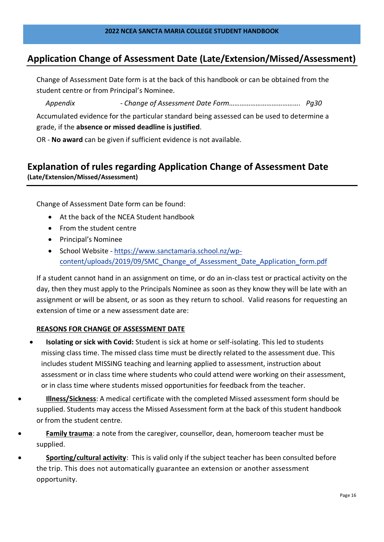## **Application Change of Assessment Date (Late/Extension/Missed/Assessment)**

Change of Assessment Date form is at the back of this handbook or can be obtained from the student centre or from Principal's Nominee.

*Appendix - Change of Assessment Date Form…………………………………. Pg30*

Accumulated evidence for the particular standard being assessed can be used to determine a grade, if the **absence or missed deadline is justified**.

OR - **No award** can be given if sufficient evidence is not available.

## **Explanation of rules regarding Application Change of Assessment Date (Late/Extension/Missed/Assessment)**

Change of Assessment Date form can be found:

- At the back of the NCEA Student handbook
- From the student centre
- Principal's Nominee
- School Website [https://www.sanctamaria.school.nz/wp](https://www.sanctamaria.school.nz/wp-content/uploads/2019/09/SMC_Change_of_Assessment_Date_Application_form.pdf)[content/uploads/2019/09/SMC\\_Change\\_of\\_Assessment\\_Date\\_Application\\_form.pdf](https://www.sanctamaria.school.nz/wp-content/uploads/2019/09/SMC_Change_of_Assessment_Date_Application_form.pdf)

If a student cannot hand in an assignment on time, or do an in-class test or practical activity on the day, then they must apply to the Principals Nominee as soon as they know they will be late with an assignment or will be absent, or as soon as they return to school. Valid reasons for requesting an extension of time or a new assessment date are:

#### **REASONS FOR CHANGE OF ASSESSMENT DATE**

- **Isolating or sick with Covid:** Student is sick at home or self-isolating. This led to students missing class time. The missed class time must be directly related to the assessment due. This includes student MISSING teaching and learning applied to assessment, instruction about assessment or in class time where students who could attend were working on their assessment, or in class time where students missed opportunities for feedback from the teacher.
- **Illness/Sickness**: A medical certificate with the completed Missed assessment form should be supplied. Students may access the Missed Assessment form at the back of this student handbook or from the student centre.
- **Family trauma**: a note from the caregiver, counsellor, dean, homeroom teacher must be supplied.
- **Sporting/cultural activity**: This is valid only if the subject teacher has been consulted before the trip. This does not automatically guarantee an extension or another assessment opportunity.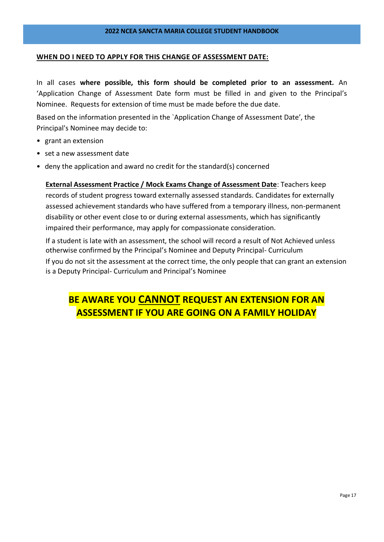#### **WHEN DO I NEED TO APPLY FOR THIS CHANGE OF ASSESSMENT DATE:**

In all cases **where possible, this form should be completed prior to an assessment.** An 'Application Change of Assessment Date form must be filled in and given to the Principal's Nominee. Requests for extension of time must be made before the due date.

Based on the information presented in the `Application Change of Assessment Date', the Principal's Nominee may decide to:

- grant an extension
- set a new assessment date
- deny the application and award no credit for the standard(s) concerned

**External Assessment Practice / Mock Exams Change of Assessment Date**: Teachers keep records of student progress toward externally assessed standards. Candidates for externally assessed achievement standards who have suffered from a temporary illness, non-permanent disability or other event close to or during external assessments, which has significantly impaired their performance, may apply for compassionate consideration.

If a student is late with an assessment, the school will record a result of Not Achieved unless otherwise confirmed by the Principal's Nominee and Deputy Principal- Curriculum If you do not sit the assessment at the correct time, the only people that can grant an extension is a Deputy Principal- Curriculum and Principal's Nominee

## **BE AWARE YOU CANNOT REQUEST AN EXTENSION FOR AN ASSESSMENT IF YOU ARE GOING ON A FAMILY HOLIDAY**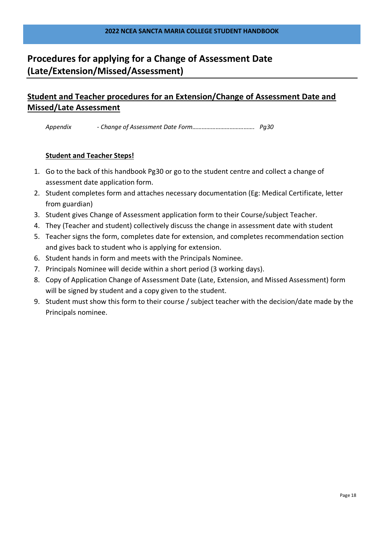## **Procedures for applying for a Change of Assessment Date (Late/Extension/Missed/Assessment)**

## **Student and Teacher procedures for an Extension/Change of Assessment Date and Missed/Late Assessment**

*Appendix - Change of Assessment Date Form…………………………………. Pg30*

#### **Student and Teacher Steps!**

- 1. Go to the back of this handbook Pg30 or go to the student centre and collect a change of assessment date application form.
- 2. Student completes form and attaches necessary documentation (Eg: Medical Certificate, letter from guardian)
- 3. Student gives Change of Assessment application form to their Course/subject Teacher.
- 4. They (Teacher and student) collectively discuss the change in assessment date with student
- 5. Teacher signs the form, completes date for extension, and completes recommendation section and gives back to student who is applying for extension.
- 6. Student hands in form and meets with the Principals Nominee.
- 7. Principals Nominee will decide within a short period (3 working days).
- 8. Copy of Application Change of Assessment Date (Late, Extension, and Missed Assessment) form will be signed by student and a copy given to the student.
- 9. Student must show this form to their course / subject teacher with the decision/date made by the Principals nominee.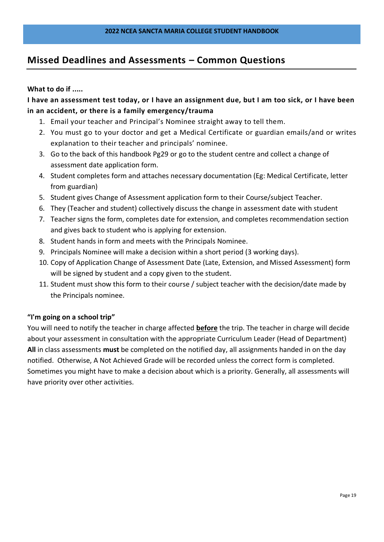## **Missed Deadlines and Assessments – Common Questions**

#### **What to do if .....**

**I have an assessment test today, or I have an assignment due, but I am too sick, or I have been in an accident, or there is a family emergency/trauma**

- 1. Email your teacher and Principal's Nominee straight away to tell them.
- 2. You must go to your doctor and get a Medical Certificate or guardian emails/and or writes explanation to their teacher and principals' nominee.
- 3. Go to the back of this handbook Pg29 or go to the student centre and collect a change of assessment date application form.
- 4. Student completes form and attaches necessary documentation (Eg: Medical Certificate, letter from guardian)
- 5. Student gives Change of Assessment application form to their Course/subject Teacher.
- 6. They (Teacher and student) collectively discuss the change in assessment date with student
- 7. Teacher signs the form, completes date for extension, and completes recommendation section and gives back to student who is applying for extension.
- 8. Student hands in form and meets with the Principals Nominee.
- 9. Principals Nominee will make a decision within a short period (3 working days).
- 10. Copy of Application Change of Assessment Date (Late, Extension, and Missed Assessment) form will be signed by student and a copy given to the student.
- 11. Student must show this form to their course / subject teacher with the decision/date made by the Principals nominee.

#### **"I'm going on a school trip"**

You will need to notify the teacher in charge affected **before** the trip. The teacher in charge will decide about your assessment in consultation with the appropriate Curriculum Leader (Head of Department) **All** in class assessments **must** be completed on the notified day, all assignments handed in on the day notified. Otherwise, A Not Achieved Grade will be recorded unless the correct form is completed. Sometimes you might have to make a decision about which is a priority. Generally, all assessments will have priority over other activities.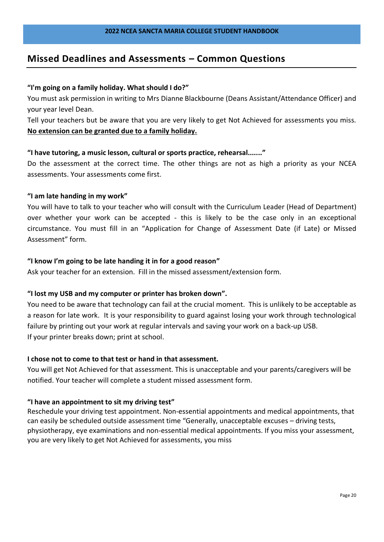## **Missed Deadlines and Assessments – Common Questions**

#### **"I'm going on a family holiday. What should I do?"**

You must ask permission in writing to Mrs Dianne Blackbourne (Deans Assistant/Attendance Officer) and your year level Dean.

Tell your teachers but be aware that you are very likely to get Not Achieved for assessments you miss. **No extension can be granted due to a family holiday.**

#### **"I have tutoring, a music lesson, cultural or sports practice, rehearsal......."**

Do the assessment at the correct time. The other things are not as high a priority as your NCEA assessments. Your assessments come first.

#### **"I am late handing in my work"**

You will have to talk to your teacher who will consult with the Curriculum Leader (Head of Department) over whether your work can be accepted - this is likely to be the case only in an exceptional circumstance. You must fill in an "Application for Change of Assessment Date (if Late) or Missed Assessment" form.

#### **"I know I'm going to be late handing it in for a good reason"**

Ask your teacher for an extension. Fill in the missed assessment/extension form.

#### **"I lost my USB and my computer or printer has broken down".**

You need to be aware that technology can fail at the crucial moment. This is unlikely to be acceptable as a reason for late work. It is your responsibility to guard against losing your work through technological failure by printing out your work at regular intervals and saving your work on a back-up USB. If your printer breaks down; print at school.

#### **I chose not to come to that test or hand in that assessment.**

You will get Not Achieved for that assessment. This is unacceptable and your parents/caregivers will be notified. Your teacher will complete a student missed assessment form.

#### **"I have an appointment to sit my driving test"**

Reschedule your driving test appointment. Non-essential appointments and medical appointments, that can easily be scheduled outside assessment time "Generally, unacceptable excuses – driving tests, physiotherapy, eye examinations and non-essential medical appointments. If you miss your assessment, you are very likely to get Not Achieved for assessments, you miss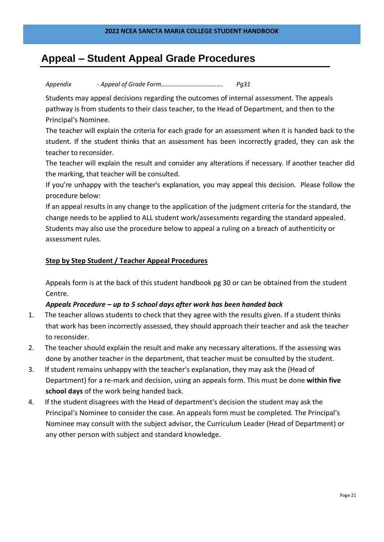## **Appeal – Student Appeal Grade Procedures**

#### *Appendix - Appeal of Grade Form…………………………………. Pg31*

Students may appeal decisions regarding the outcomes of internal assessment. The appeals pathway is from students to their class teacher, to the Head of Department, and then to the Principal's Nominee.

The teacher will explain the criteria for each grade for an assessment when it is handed back to the student. If the student thinks that an assessment has been incorrectly graded, they can ask the teacher to reconsider.

The teacher will explain the result and consider any alterations if necessary. If another teacher did the marking, that teacher will be consulted.

If you're unhappy with the teacher's explanation, you may appeal this decision. Please follow the procedure below:

If an appeal results in any change to the application of the judgment criteria for the standard, the change needs to be applied to ALL student work/assessments regarding the standard appealed. Students may also use the procedure below to appeal a ruling on a breach of authenticity or assessment rules.

#### **Step by Step Student / Teacher Appeal Procedures**

Appeals form is at the back of this student handbook pg 30 or can be obtained from the student Centre.

#### *Appeals Procedure – up to 5 school days after work has been handed back*

- 1. The teacher allows students to check that they agree with the results given. If a student thinks that work has been incorrectly assessed, they should approach their teacher and ask the teacher to reconsider.
- 2. The teacher should explain the result and make any necessary alterations. If the assessing was done by another teacher in the department, that teacher must be consulted by the student.
- 3. If student remains unhappy with the teacher's explanation, they may ask the (Head of Department) for a re-mark and decision, using an appeals form. This must be done **within five school days** of the work being handed back.
- 4. If the student disagrees with the Head of department's decision the student may ask the Principal's Nominee to consider the case. An appeals form must be completed. The Principal's Nominee may consult with the subject advisor, the Curriculum Leader (Head of Department) or any other person with subject and standard knowledge.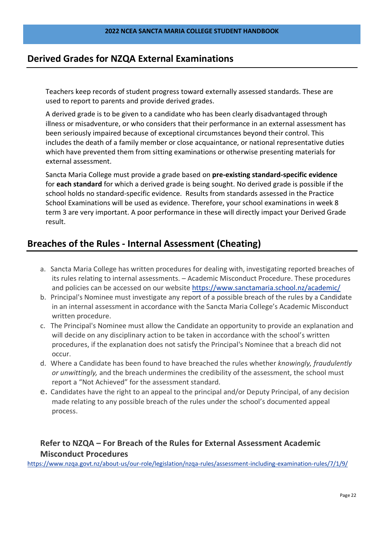## **Derived Grades for NZQA External Examinations**

Teachers keep records of student progress toward externally assessed standards. These are used to report to parents and provide derived grades.

A derived grade is to be given to a candidate who has been clearly disadvantaged through illness or misadventure, or who considers that their performance in an external assessment has been seriously impaired because of exceptional circumstances beyond their control. This includes the death of a family member or close acquaintance, or national representative duties which have prevented them from sitting examinations or otherwise presenting materials for external assessment.

Sancta Maria College must provide a grade based on **pre-existing standard-specific evidence** for **each standard** for which a derived grade is being sought. No derived grade is possible if the school holds no standard-specific evidence. Results from standards assessed in the Practice School Examinations will be used as evidence. Therefore, your school examinations in week 8 term 3 are very important. A poor performance in these will directly impact your Derived Grade result.

## **Breaches of the Rules - Internal Assessment (Cheating)**

- a. Sancta Maria College has written procedures for dealing with, investigating reported breaches of its rules relating to internal assessments. – Academic Misconduct Procedure. These procedures and policies can be accessed on our website <https://www.sanctamaria.school.nz/academic/>
- b. Principal's Nominee must investigate any report of a possible breach of the rules by a Candidate in an internal assessment in accordance with the Sancta Maria College's Academic Misconduct written procedure.
- c. The Principal's Nominee must allow the Candidate an opportunity to provide an explanation and will decide on any disciplinary action to be taken in accordance with the school's written procedures, if the explanation does not satisfy the Principal's Nominee that a breach did not occur.
- d. Where a Candidate has been found to have breached the rules whether *knowingly, fraudulently or unwittingly,* and the breach undermines the credibility of the assessment, the school must report a "Not Achieved" for the assessment standard.
- e. Candidates have the right to an appeal to the principal and/or Deputy Principal, of any decision made relating to any possible breach of the rules under the school's documented appeal process.

## **Refer to NZQA – For Breach of the Rules for External Assessment Academic Misconduct Procedures**

<https://www.nzqa.govt.nz/about-us/our-role/legislation/nzqa-rules/assessment-including-examination-rules/7/1/9/>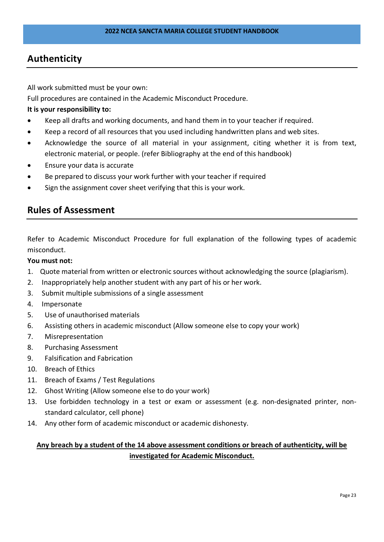## **Authenticity**

All work submitted must be your own:

Full procedures are contained in the Academic Misconduct Procedure.

#### **It is your responsibility to:**

- Keep all drafts and working documents, and hand them in to your teacher if required.
- Keep a record of all resources that you used including handwritten plans and web sites.
- Acknowledge the source of all material in your assignment, citing whether it is from text, electronic material, or people. (refer Bibliography at the end of this handbook)
- Ensure your data is accurate
- Be prepared to discuss your work further with your teacher if required
- Sign the assignment cover sheet verifying that this is your work.

## **Rules of Assessment**

Refer to Academic Misconduct Procedure for full explanation of the following types of academic misconduct.

#### **You must not:**

- 1. Quote material from written or electronic sources without acknowledging the source (plagiarism).
- 2. Inappropriately help another student with any part of his or her work.
- 3. Submit multiple submissions of a single assessment
- 4. Impersonate
- 5. Use of unauthorised materials
- 6. Assisting others in academic misconduct (Allow someone else to copy your work)
- 7. Misrepresentation
- 8. Purchasing Assessment
- 9. Falsification and Fabrication
- 10. Breach of Ethics
- 11. Breach of Exams / Test Regulations
- 12. Ghost Writing (Allow someone else to do your work)
- 13. Use forbidden technology in a test or exam or assessment (e.g. non-designated printer, nonstandard calculator, cell phone)
- 14. Any other form of academic misconduct or academic dishonesty.

#### **Any breach by a student of the 14 above assessment conditions or breach of authenticity, will be investigated for Academic Misconduct.**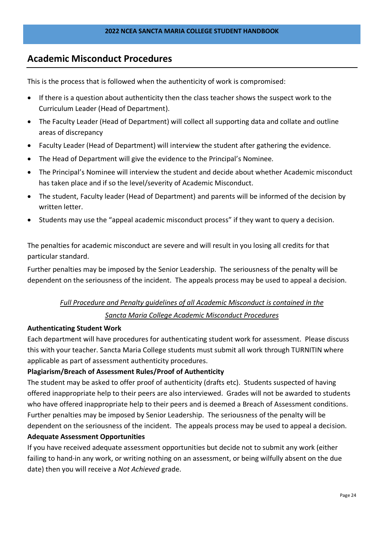## **Academic Misconduct Procedures**

This is the process that is followed when the authenticity of work is compromised:

- If there is a question about authenticity then the class teacher shows the suspect work to the Curriculum Leader (Head of Department).
- The Faculty Leader (Head of Department) will collect all supporting data and collate and outline areas of discrepancy
- Faculty Leader (Head of Department) will interview the student after gathering the evidence.
- The Head of Department will give the evidence to the Principal's Nominee.
- The Principal's Nominee will interview the student and decide about whether Academic misconduct has taken place and if so the level/severity of Academic Misconduct.
- The student, Faculty leader (Head of Department) and parents will be informed of the decision by written letter.
- Students may use the "appeal academic misconduct process" if they want to query a decision.

The penalties for academic misconduct are severe and will result in you losing all credits for that particular standard.

Further penalties may be imposed by the Senior Leadership. The seriousness of the penalty will be dependent on the seriousness of the incident. The appeals process may be used to appeal a decision.

#### *Full Procedure and Penalty guidelines of all Academic Misconduct is contained in the*

#### *Sancta Maria College Academic Misconduct Procedures*

#### **Authenticating Student Work**

Each department will have procedures for authenticating student work for assessment. Please discuss this with your teacher. Sancta Maria College students must submit all work through TURNITIN where applicable as part of assessment authenticity procedures.

#### **Plagiarism/Breach of Assessment Rules/Proof of Authenticity**

The student may be asked to offer proof of authenticity (drafts etc). Students suspected of having offered inappropriate help to their peers are also interviewed. Grades will not be awarded to students who have offered inappropriate help to their peers and is deemed a Breach of Assessment conditions. Further penalties may be imposed by Senior Leadership. The seriousness of the penalty will be dependent on the seriousness of the incident. The appeals process may be used to appeal a decision.

#### **Adequate Assessment Opportunities**

If you have received adequate assessment opportunities but decide not to submit any work (either failing to hand-in any work, or writing nothing on an assessment, or being wilfully absent on the due date) then you will receive a *Not Achieved* grade.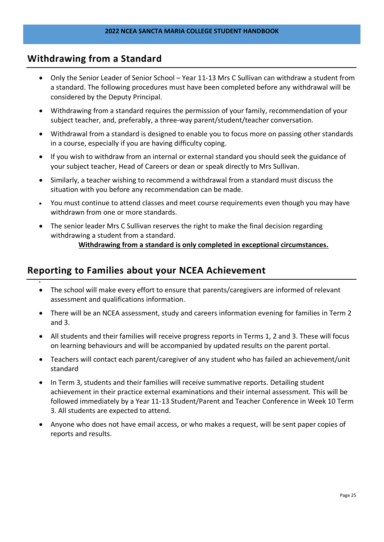## **Withdrawing from a Standard**

•

- Only the Senior Leader of Senior School Year 11-13 Mrs C Sullivan can withdraw a student from a standard. The following procedures must have been completed before any withdrawal will be considered by the Deputy Principal.
- Withdrawing from a standard requires the permission of your family, recommendation of your subject teacher, and, preferably, a three-way parent/student/teacher conversation.
- Withdrawal from a standard is designed to enable you to focus more on passing other standards in a course, especially if you are having difficulty coping.
- If you wish to withdraw from an internal or external standard you should seek the guidance of your subject teacher, Head of Careers or dean or speak directly to Mrs Sullivan.
- Similarly, a teacher wishing to recommend a withdrawal from a standard must discuss the situation with you before any recommendation can be made.
- You must continue to attend classes and meet course requirements even though you may have withdrawn from one or more standards.
- The senior leader Mrs C Sullivan reserves the right to make the final decision regarding withdrawing a student from a standard.

## **Withdrawing from a standard is only completed in exceptional circumstances.**

## **Reporting to Families about your NCEA Achievement**

- The school will make every effort to ensure that parents/caregivers are informed of relevant assessment and qualifications information.
- There will be an NCEA assessment, study and careers information evening for families in Term 2 and 3.
- All students and their families will receive progress reports in Terms 1, 2 and 3. These will focus on learning behaviours and will be accompanied by updated results on the parent portal.
- Teachers will contact each parent/caregiver of any student who has failed an achievement/unit standard
- In Term 3, students and their families will receive summative reports. Detailing student achievement in their practice external examinations and their internal assessment. This will be followed immediately by a Year 11-13 Student/Parent and Teacher Conference in Week 10 Term 3. All students are expected to attend.
- Anyone who does not have email access, or who makes a request, will be sent paper copies of reports and results.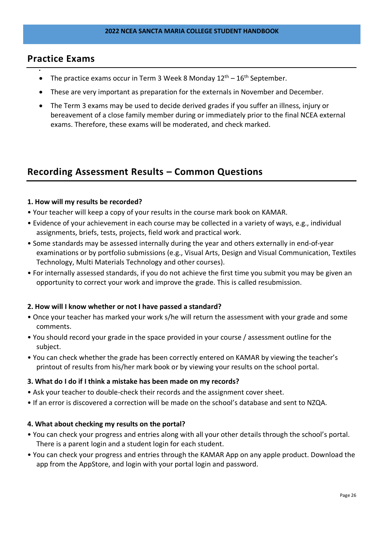#### **Practice Exams**

•

- The practice exams occur in Term 3 Week 8 Monday  $12^{th} 16^{th}$  September.
- These are very important as preparation for the externals in November and December.
- The Term 3 exams may be used to decide derived grades if you suffer an illness, injury or bereavement of a close family member during or immediately prior to the final NCEA external exams. Therefore, these exams will be moderated, and check marked.

## **Recording Assessment Results – Common Questions**

#### **1. How will my results be recorded?**

- Your teacher will keep a copy of your results in the course mark book on KAMAR.
- Evidence of your achievement in each course may be collected in a variety of ways, e.g., individual assignments, briefs, tests, projects, field work and practical work.
- Some standards may be assessed internally during the year and others externally in end-of-year examinations or by portfolio submissions (e.g., Visual Arts, Design and Visual Communication, Textiles Technology, Multi Materials Technology and other courses).
- For internally assessed standards, if you do not achieve the first time you submit you may be given an opportunity to correct your work and improve the grade. This is called resubmission.

#### **2. How will I know whether or not I have passed a standard?**

- Once your teacher has marked your work s/he will return the assessment with your grade and some comments.
- You should record your grade in the space provided in your course / assessment outline for the subject.
- You can check whether the grade has been correctly entered on KAMAR by viewing the teacher's printout of results from his/her mark book or by viewing your results on the school portal.

#### **3. What do I do if I think a mistake has been made on my records?**

- Ask your teacher to double-check their records and the assignment cover sheet.
- If an error is discovered a correction will be made on the school's database and sent to NZQA.

#### **4. What about checking my results on the portal?**

- You can check your progress and entries along with all your other details through the school's portal. There is a parent login and a student login for each student.
- You can check your progress and entries through the KAMAR App on any apple product. Download the app from the AppStore, and login with your portal login and password.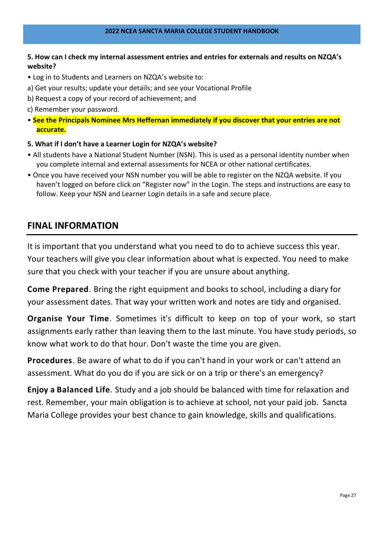#### **5. How can I check my internal assessment entries and entries for externals and results on NZQA's website?**

- Log in to Students and Learners on NZQA's website to:
- a) Get your results; update your details; and see your Vocational Profile
- b) Request a copy of your record of achievement; and
- c) Remember your password.
- **See the Principals Nominee Mrs Heffernan immediately if you discover that your entries are not accurate.**
- **5. What if I don't have a Learner Login for NZQA's website?**
- All students have a National Student Number (NSN). This is used as a personal identity number when you complete internal and external assessments for NCEA or other national certificates.
- Once you have received your NSN number you will be able to register on the NZQA website. If you haven't logged on before click on "Register now" in the Login. The steps and instructions are easy to follow. Keep your NSN and Learner Login details in a safe and secure place.

## **FINAL INFORMATION**

It is important that you understand what you need to do to achieve success this year. Your teachers will give you clear information about what is expected. You need to make sure that you check with your teacher if you are unsure about anything.

**Come Prepared**. Bring the right equipment and books to school, including a diary for your assessment dates. That way your written work and notes are tidy and organised.

**Organise Your Time**. Sometimes it's difficult to keep on top of your work, so start assignments early rather than leaving them to the last minute. You have study periods, so know what work to do that hour. Don't waste the time you are given.

**Procedures**. Be aware of what to do if you can't hand in your work or can't attend an assessment. What do you do if you are sick or on a trip or there's an emergency?

**Enjoy a Balanced Life**. Study and a job should be balanced with time for relaxation and rest. Remember, your main obligation is to achieve at school, not your paid job. Sancta Maria College provides your best chance to gain knowledge, skills and qualifications.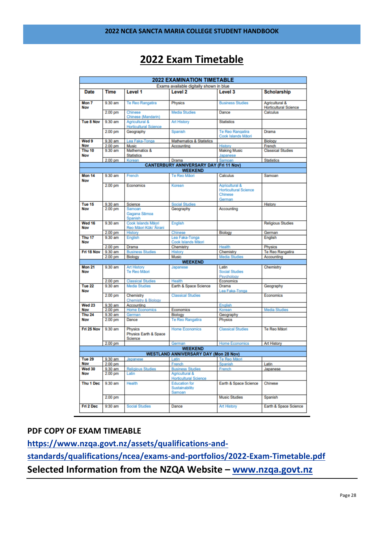## **2022 Exam Timetable**

|                          |                    |                                                | <b>2022 EXAMINATION TIMETABLE</b>                |                                                                     |                                                |
|--------------------------|--------------------|------------------------------------------------|--------------------------------------------------|---------------------------------------------------------------------|------------------------------------------------|
|                          |                    |                                                | Exams available digitally shown in blue          |                                                                     |                                                |
| <b>Date</b>              | <b>Time</b>        | Level 1                                        | Level <sub>2</sub>                               | Level 3                                                             | <b>Scholarship</b>                             |
| Mon <sub>7</sub><br>Nov  | $9.30$ am          | Te Reo Rangatira                               | Physics                                          | <b>Business Studies</b>                                             | Agricultural &<br><b>Horticultural Science</b> |
|                          | 2.00 <sub>pm</sub> | Chinese<br>Chinese (Mandarin)                  | <b>Media Studies</b>                             | Dance                                                               | Calculus                                       |
| Tue 8 Nov                | $9.30$ am          | Agricultural &<br><b>Horticultural Science</b> | <b>Art History</b>                               | <b>Statistics</b>                                                   |                                                |
|                          | 2.00 pm            | Geography                                      | Spanish                                          | Te Reo Rangatira<br>Cook Islands Māori                              | Drama                                          |
| Wed 9                    | 9.30 am            | Lea Faka-Tonga                                 | <b>Mathematics &amp; Statistics</b>              |                                                                     | Biology                                        |
| Nov                      | 2.00 pm            | <b>Music</b>                                   | Accounting                                       | History                                                             | French                                         |
| Thu <sub>10</sub>        | 9.30 am            | Mathematics &                                  |                                                  | <b>Making Music</b>                                                 | <b>Classical Studies</b>                       |
| Nov                      | 2.00 pm            | <b>Statistics</b><br>Korean                    | Drama                                            | Japanese<br>Samoan                                                  |                                                |
|                          |                    |                                                | <b>CANTERBURY ANNIVERSARY DAY (Fri 11 Nov)</b>   |                                                                     | <b>Statistics</b>                              |
|                          |                    |                                                | <b>WEEKEND</b>                                   |                                                                     |                                                |
| <b>Mon 14</b><br>Nov     | 9.30 am            | French                                         | Te Reo Mãori                                     | Calculus                                                            | Samoan                                         |
|                          | 2.00 pm            | Economics                                      | Korean                                           | Agricultural &<br><b>Horticultural Science</b><br>Chinese<br>German |                                                |
| Tue 15                   | 9.30 am            | Science                                        | <b>Social Studies</b>                            |                                                                     | History                                        |
| Nov                      | 2.00 <sub>pm</sub> | Samoan<br>Gagana Sāmoa<br>Spanish              | Geography                                        | Accounting                                                          |                                                |
| Wed 16<br>Nov            | $9.30$ am          | Cook Islands Mãori<br>Reo Māori Kūki 'Āirani   | English                                          |                                                                     | <b>Religious Studies</b>                       |
|                          | 2.00 <sub>pm</sub> | History                                        | Chinese                                          | Biology                                                             | German                                         |
| Thu <sub>17</sub><br>Nov | 9.30 am            | English                                        | Lea Faka-Tonga<br>Cook Islands Māori             |                                                                     | English                                        |
|                          | 2.00 <sub>pm</sub> | Drama                                          | Chemistry                                        | Health                                                              | Physics                                        |
| Fri 18 Nov               | 9.30 am            | <b>Business Studies</b>                        | <b>History</b>                                   | Chemistry                                                           | Te Reo Rangatira                               |
|                          | 2.00 <sub>pm</sub> | <b>Biology</b>                                 | Music<br><b>WEEKEND</b>                          | <b>Media Studies</b>                                                | Accounting                                     |
| <b>Mon 21</b>            | $9.30$ am          | <b>Art History</b>                             | Japanese                                         | Latin                                                               | Chemistry                                      |
| Nov                      |                    | Te Reo Mãori                                   |                                                  | Social Studies<br>Psychology                                        |                                                |
|                          | $2.00$ pm          | <b>Classical Studies</b>                       | Health                                           | Economics                                                           |                                                |
| Tue 22                   | $9.30$ am          | <b>Media Studies</b>                           | Earth & Space Science                            | Drama                                                               | Geography                                      |
| Nov                      | $2.00$ pm          | Chemistry<br><b>Chemistry &amp; Biology</b>    | <b>Classical Studies</b>                         | Lea Faka-Tonga                                                      | Economics                                      |
| Wed 23                   | 9.30 am            | Accounting                                     |                                                  | English                                                             |                                                |
| Nov                      | 2.00 <sub>pm</sub> | <b>Home Economics</b>                          | Economics                                        | Korean                                                              | Media Studies                                  |
| <b>Thu 24</b>            | 9.30 am            | German                                         | Biology                                          | Geography                                                           |                                                |
| Nov                      | 2.00 <sub>pm</sub> | Dance                                          | Te Reo Rangatira                                 | Physics                                                             |                                                |
| Fri 25 Nov               | $9.30$ am          | Physics<br>Physics Earth & Space<br>Science    | <b>Home Economics</b>                            | <b>Classical Studies</b>                                            | Te Reo Maori                                   |
|                          | 2.00 <sub>pm</sub> |                                                | German                                           | <b>Home Economics</b>                                               | <b>Art History</b>                             |
|                          |                    |                                                | <b>WEEKEND</b>                                   |                                                                     |                                                |
|                          |                    |                                                | <b>WESTLAND ANNIVERSARY DAY (Mon 28 Nov)</b>     |                                                                     |                                                |
| Tue 29                   | 9.30 am            | Japanese                                       | Latin                                            | Te Reo Mãori                                                        |                                                |
| Nov                      | 2.00 pm            |                                                | French                                           | Spanish                                                             | Latin                                          |
| <b>Wed 30</b>            | 9.30 am            | <b>Religious Studies</b>                       | <b>Business Studies</b>                          | French                                                              | Japanese                                       |
| Nov                      | 2.00 pm            | Latin                                          | Agricultural &<br><b>Horticultural Science</b>   |                                                                     |                                                |
| Thu 1 Dec                | 9.30 am            | Health                                         | <b>Education for</b><br>Sustainability<br>Samoan | Earth & Space Science                                               | Chinese                                        |
|                          | $2.00$ pm          |                                                |                                                  | <b>Music Studies</b>                                                | Spanish                                        |
| Fri 2 Dec                | 9:30 am            | Social Studies                                 | Dance                                            | <b>Art History</b>                                                  | Earth & Space Science                          |

#### **PDF COPY OF EXAM TIMEABLE**

**[https://www.nzqa.govt.nz/assets/qualifications-and](https://www.nzqa.govt.nz/assets/qualifications-and-standards/qualifications/ncea/exams-and-portfolios/2022-Exam-Timetable.pdf)[standards/qualifications/ncea/exams-and-portfolios/2022-Exam-Timetable.pdf](https://www.nzqa.govt.nz/assets/qualifications-and-standards/qualifications/ncea/exams-and-portfolios/2022-Exam-Timetable.pdf) Selected Information from the NZQA Website – [www.nzqa.govt.nz](http://www.nzqa.govt.nz/)**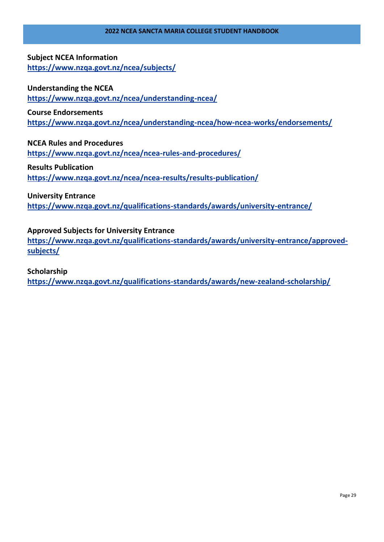#### **Subject NCEA Information <https://www.nzqa.govt.nz/ncea/subjects/>**

#### **Understanding the NCEA**

**<https://www.nzqa.govt.nz/ncea/understanding-ncea/>**

#### **Course Endorsements**

**<https://www.nzqa.govt.nz/ncea/understanding-ncea/how-ncea-works/endorsements/>**

#### **NCEA Rules and Procedures**

**<https://www.nzqa.govt.nz/ncea/ncea-rules-and-procedures/>**

#### **Results Publication**

**<https://www.nzqa.govt.nz/ncea/ncea-results/results-publication/>**

#### **University Entrance**

**<https://www.nzqa.govt.nz/qualifications-standards/awards/university-entrance/>**

#### **Approved Subjects for University Entrance**

**[https://www.nzqa.govt.nz/qualifications-standards/awards/university-entrance/approved](https://www.nzqa.govt.nz/qualifications-standards/awards/university-entrance/approved-subjects/)[subjects/](https://www.nzqa.govt.nz/qualifications-standards/awards/university-entrance/approved-subjects/)**

#### **Scholarship**

**<https://www.nzqa.govt.nz/qualifications-standards/awards/new-zealand-scholarship/>**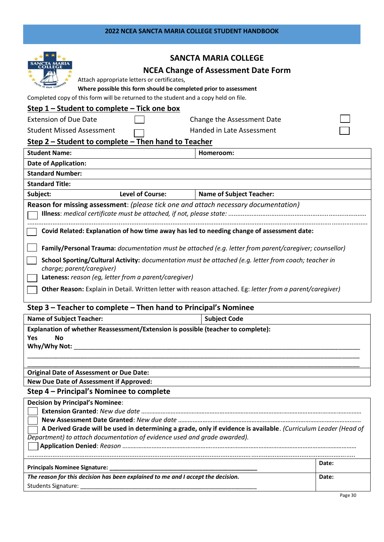#### **2022 NCEA SANCTA MARIA COLLEGE STUDENT HANDBOOK**

| Attach appropriate letters or certificates,<br>Where possible this form should be completed prior to assessment<br>Completed copy of this form will be returned to the student and a copy held on file.<br>Step 1 - Student to complete - Tick one box                                                                                                                                                                                                                                                                                                                                                 | <b>SANCTA MARIA COLLEGE</b><br><b>NCEA Change of Assessment Date Form</b> |  |
|--------------------------------------------------------------------------------------------------------------------------------------------------------------------------------------------------------------------------------------------------------------------------------------------------------------------------------------------------------------------------------------------------------------------------------------------------------------------------------------------------------------------------------------------------------------------------------------------------------|---------------------------------------------------------------------------|--|
| <b>Extension of Due Date</b><br><b>Student Missed Assessment</b>                                                                                                                                                                                                                                                                                                                                                                                                                                                                                                                                       | Change the Assessment Date<br>Handed in Late Assessment                   |  |
| Step 2 - Student to complete - Then hand to Teacher                                                                                                                                                                                                                                                                                                                                                                                                                                                                                                                                                    |                                                                           |  |
| <b>Student Name:</b>                                                                                                                                                                                                                                                                                                                                                                                                                                                                                                                                                                                   | Homeroom:                                                                 |  |
| <b>Date of Application:</b>                                                                                                                                                                                                                                                                                                                                                                                                                                                                                                                                                                            |                                                                           |  |
| <b>Standard Number:</b>                                                                                                                                                                                                                                                                                                                                                                                                                                                                                                                                                                                |                                                                           |  |
| <b>Standard Title:</b>                                                                                                                                                                                                                                                                                                                                                                                                                                                                                                                                                                                 |                                                                           |  |
| <b>Level of Course:</b><br>Subject:                                                                                                                                                                                                                                                                                                                                                                                                                                                                                                                                                                    | <b>Name of Subject Teacher:</b>                                           |  |
| Reason for missing assessment: (please tick one and attach necessary documentation)<br>Covid Related: Explanation of how time away has led to needing change of assessment date:<br>Family/Personal Trauma: documentation must be attached (e.g. letter from parent/caregiver; counsellor)<br>School Sporting/Cultural Activity: documentation must be attached (e.g. letter from coach; teacher in<br>charge; parent/caregiver)<br>Lateness: reason (eg, letter from a parent/caregiver)<br>Other Reason: Explain in Detail. Written letter with reason attached. Eg: letter from a parent/caregiver) |                                                                           |  |
| Step 3 - Teacher to complete - Then hand to Principal's Nominee                                                                                                                                                                                                                                                                                                                                                                                                                                                                                                                                        |                                                                           |  |
| <b>Name of Subject Teacher:</b>                                                                                                                                                                                                                                                                                                                                                                                                                                                                                                                                                                        | <b>Subject Code</b>                                                       |  |
| Explanation of whether Reassessment/Extension is possible (teacher to complete):<br>Yes<br><b>No</b><br>Why/Why Not:                                                                                                                                                                                                                                                                                                                                                                                                                                                                                   |                                                                           |  |
| <b>Original Date of Assessment or Due Date:</b>                                                                                                                                                                                                                                                                                                                                                                                                                                                                                                                                                        |                                                                           |  |

**New Due Date of Assessment if Approved:**

## **Step 4 – Principal's Nominee to complete**

| <b>Decision by Principal's Nominee:</b>                                                                                                                                                                                        |       |
|--------------------------------------------------------------------------------------------------------------------------------------------------------------------------------------------------------------------------------|-------|
|                                                                                                                                                                                                                                |       |
|                                                                                                                                                                                                                                |       |
| A Derived Grade will be used in determining a grade, only if evidence is available. (Curriculum Leader (Head of                                                                                                                |       |
| Department) to attach documentation of evidence used and grade awarded).                                                                                                                                                       |       |
|                                                                                                                                                                                                                                |       |
|                                                                                                                                                                                                                                |       |
|                                                                                                                                                                                                                                | Date: |
|                                                                                                                                                                                                                                |       |
| The reason for this decision has been explained to me and I accept the decision.                                                                                                                                               | Date: |
| Students Signature: The Contract of the Contract of the Contract of the Contract of the Contract of the Contract of the Contract of the Contract of the Contract of the Contract of the Contract of the Contract of the Contra |       |